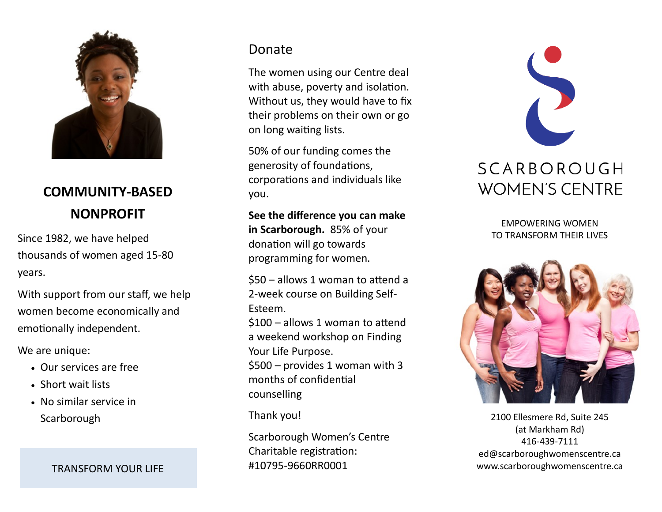

## **COMMUNITY-BASED NONPROFIT**

Since 1982, we have helped thousands of women aged 15-80 years.

With support from our staff, we help women become economically and emotionally independent.

We are unique:

- Our services are free
- Short wait lists
- No similar service in **Scarborough**

#### Donate

The women using our Centre deal with abuse, poverty and isolation. Without us, they would have to fix their problems on their own or go on long waiting lists.

50% of our funding comes the generosity of foundations, corporations and individuals like you.

**See the difference you can make in Scarborough.** 85% of your donation will go towards programming for women.

\$50 – allows 1 woman to attend a 2-week course on Building Self-Esteem.

\$100 – allows 1 woman to attend a weekend workshop on Finding Your Life Purpose.

\$500 – provides 1 woman with 3 months of confidential counselling

Thank you!

Scarborough Women's Centre Charitable registration: #10795-9660RR0001 TRANSFORM YOUR LIFE

# SCARBOROUGH **WOMEN'S CENTRE**

EMPOWERING WOMEN TO TRANSFORM THEIR LIVES



2100 Ellesmere Rd, Suite 245 (at Markham Rd) 416-439-7111 ed@scarboroughwomenscentre.ca www.scarboroughwomenscentre.ca